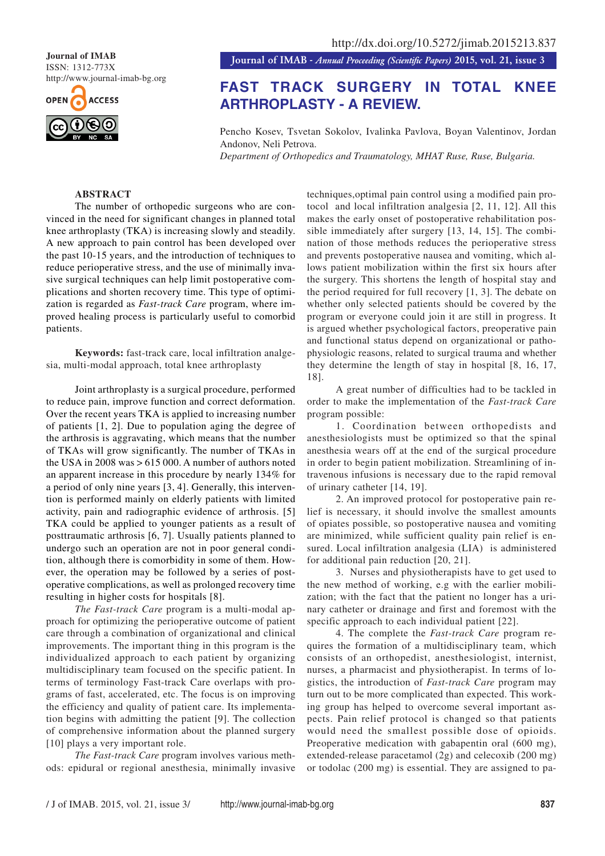**Journal of IMAB** ISSN: 1312-773X http://www.journal-imab-bg.org



**Journal of IMAB** *- Annual Proceeding (Scientific Papers)* **2015, vol. 21, issue 3**

# **FAST TRACK SURGERY IN TOTAL KNEE ARTHROPLASTY - A REVIEW.**

Pencho Kosev, Tsvetan Sokolov, Ivalinka Pavlova, Boyan Valentinov, Jordan Andonov, Neli Petrova.

*Department of Orthopedics and Traumatology, MHAT Ruse, Ruse, Bulgaria.*

# **ABSTRACT**

The number of orthopedic surgeons who are convinced in the need for significant changes in planned total knee arthroplasty (TKA) is increasing slowly and steadily. A new approach to pain control has been developed over the past 10-15 years, and the introduction of techniques to reduce perioperative stress, and the use of minimally invasive surgical techniques can help limit postoperative complications and shorten recovery time. This type of optimization is regarded as *Fast-track Care* program, where improved healing process is particularly useful to comorbid patients.

**Keywords:** fast-track care, local infiltration analgesia, multi-modal approach, total knee arthroplasty

Joint arthroplasty is a surgical procedure, performed to reduce pain, improve function and correct deformation. Over the recent years TKA is applied to increasing number of patients [1, 2]. Due to population aging the degree of the arthrosis is aggravating, which means that the number of TKAs will grow significantly. The number of TKAs in the USA in 2008 was  $> 615000$ . A number of authors noted an apparent increase in this procedure by nearly 134% for a period of only nine years [3, 4]. Generally, this intervention is performed mainly on elderly patients with limited activity, pain and radiographic evidence of arthrosis. [5] TKA could be applied to younger patients as a result of posttraumatic arthrosis [6, 7]. Usually patients planned to undergo such an operation are not in poor general condition, although there is comorbidity in some of them. However, the operation may be followed by a series of postoperative complications, as well as prolonged recovery time resulting in higher costs for hospitals [8].

*The Fast-track Care* program is a multi-modal approach for optimizing the perioperative outcome of patient care through a combination of organizational and clinical improvements. The important thing in this program is the individualized approach to each patient by organizing multidisciplinary team focused on the specific patient. In terms of terminology Fast-track Care overlaps with programs of fast, accelerated, etc. The focus is on improving the efficiency and quality of patient care. Its implementation begins with admitting the patient [9]. The collection of comprehensive information about the planned surgery [10] plays a very important role.

*The Fast-track Care* program involves various methods: epidural or regional anesthesia, minimally invasive techniques,optimal pain control using a modified pain protocol and local infiltration analgesia [2, 11, 12]. All this makes the early onset of postoperative rehabilitation possible immediately after surgery [13, 14, 15]. The combination of those methods reduces the perioperative stress and prevents postoperative nausea and vomiting, which allows patient mobilization within the first six hours after the surgery. This shortens the length of hospital stay and the period required for full recovery [1, 3]. The debate on whether only selected patients should be covered by the program or everyone could join it are still in progress. It is argued whether psychological factors, preoperative pain and functional status depend on organizational or pathophysiologic reasons, related to surgical trauma and whether they determine the length of stay in hospital [8, 16, 17, 18].

A great number of difficulties had to be tackled in order to make the implementation of the *Fast-track Care* program possible:

1. Coordination between orthopedists and anesthesiologists must be optimized so that the spinal anesthesia wears off at the end of the surgical procedure in order to begin patient mobilization. Streamlining of intravenous infusions is necessary due to the rapid removal of urinary catheter [14, 19].

2. An improved protocol for postoperative pain relief is necessary, it should involve the smallest amounts of opiates possible, so postoperative nausea and vomiting are minimized, while sufficient quality pain relief is ensured. Local infiltration analgesia (LIA) is administered for additional pain reduction [20, 21].

3. Nurses and physiotherapists have to get used to the new method of working, e.g with the earlier mobilization; with the fact that the patient no longer has a urinary catheter or drainage and first and foremost with the specific approach to each individual patient [22].

4. The complete the *Fast-track Care* program requires the formation of a multidisciplinary team, which consists of an orthopedist, anesthesiologist, internist, nurses, a pharmacist and physiotherapist. In terms of logistics, the introduction of *Fast-track Care* program may turn out to be more complicated than expected. This working group has helped to overcome several important aspects. Pain relief protocol is changed so that patients would need the smallest possible dose of opioids. Preoperative medication with gabapentin oral (600 mg), extended-release paracetamol (2g) and celecoxib (200 mg) or todolac (200 mg) is essential. They are assigned to pa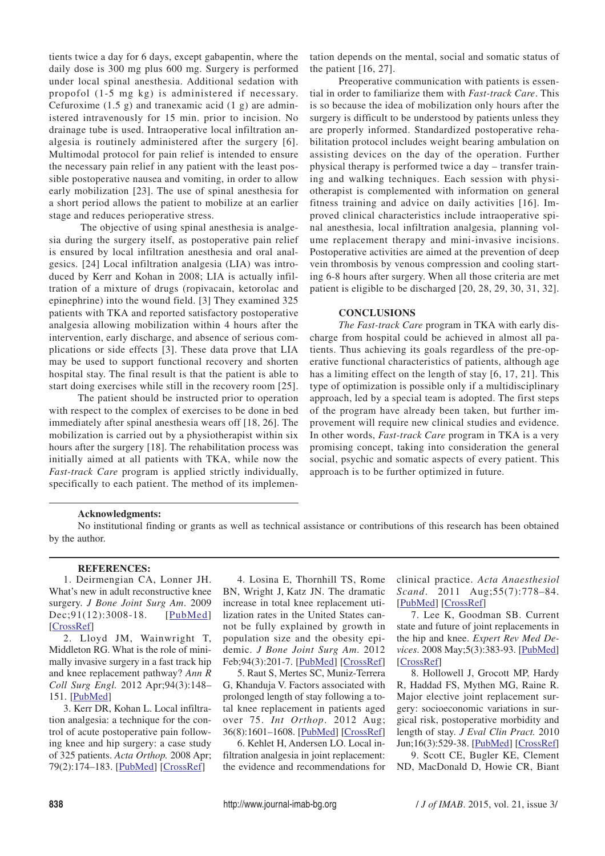tients twice a day for 6 days, except gabapentin, where the daily dose is 300 mg plus 600 mg. Surgery is performed under local spinal anesthesia. Additional sedation with propofol (1-5 mg kg) is administered if necessary. Cefuroxime  $(1.5 \text{ g})$  and tranexamic acid  $(1 \text{ g})$  are administered intravenously for 15 min. prior to incision. No drainage tube is used. Intraoperative local infiltration analgesia is routinely administered after the surgery [6]. Multimodal protocol for pain relief is intended to ensure the necessary pain relief in any patient with the least possible postoperative nausea and vomiting, in order to allow early mobilization [23]. The use of spinal anesthesia for a short period allows the patient to mobilize at an earlier stage and reduces perioperative stress.

 The objective of using spinal anesthesia is analgesia during the surgery itself, as postoperative pain relief is ensured by local infiltration anesthesia and oral analgesics. [24] Local infiltration analgesia (LIA) was introduced by Kerr and Kohan in 2008; LIA is actually infiltration of a mixture of drugs (ropivacain, ketorolac and epinephrine) into the wound field. [3] They examined 325 patients with TKA and reported satisfactory postoperative analgesia allowing mobilization within 4 hours after the intervention, early discharge, and absence of serious complications or side effects [3]. These data prove that LIA may be used to support functional recovery and shorten hospital stay. The final result is that the patient is able to start doing exercises while still in the recovery room [25].

The patient should be instructed prior to operation with respect to the complex of exercises to be done in bed immediately after spinal anesthesia wears off [18, 26]. The mobilization is carried out by a physiotherapist within six hours after the surgery [18]. The rehabilitation process was initially aimed at all patients with TKA, while now the *Fast-track Care* program is applied strictly individually, specifically to each patient. The method of its implemen-

tation depends on the mental, social and somatic status of the patient [16, 27].

Preoperative communication with patients is essential in order to familiarize them with *Fast-track Care*. This is so because the idea of mobilization only hours after the surgery is difficult to be understood by patients unless they are properly informed. Standardized postoperative rehabilitation protocol includes weight bearing ambulation on assisting devices on the day of the operation. Further physical therapy is performed twice a day – transfer training and walking techniques. Each session with physiotherapist is complemented with information on general fitness training and advice on daily activities [16]. Improved clinical characteristics include intraoperative spinal anesthesia, local infiltration analgesia, planning volume replacement therapy and mini-invasive incisions. Postoperative activities are aimed at the prevention of deep vein thrombosis by venous compression and cooling starting 6-8 hours after surgery. When all those criteria are met patient is eligible to be discharged [20, 28, 29, 30, 31, 32].

## **CONCLUSIONS**

*The Fast-track Care* program in TKA with early discharge from hospital could be achieved in almost all patients. Thus achieving its goals regardless of the pre-operative functional characteristics of patients, although age has a limiting effect on the length of stay [6, 17, 21]. This type of optimization is possible only if a multidisciplinary approach, led by a special team is adopted. The first steps of the program have already been taken, but further improvement will require new clinical studies and evidence. In other words, *Fast-track Care* program in TKA is a very promising concept, taking into consideration the general social, psychic and somatic aspects of every patient. This approach is to be further optimized in future.

### **Acknowledgments:**

No institutional finding or grants as well as technical assistance or contributions of this research has been obtained by the author.

#### **REFERENCES:**

1. Deirmengian CA, Lonner JH. What's new in adult reconstructive knee surgery. *J Bone Joint Surg Am*. 2009 Dec; 91(12): 3008 - 18. [PubMed] [CrossRef]

2. Lloyd JM, Wainwright T, Middleton RG. What is the role of minimally invasive surgery in a fast track hip and knee replacement pathway? *Ann R Coll Surg Engl.* 2012 Apr;94(3):148– 151. [PubMed]

3. Kerr DR, Kohan L. Local infiltration analgesia: a technique for the control of acute postoperative pain following knee and hip surgery: a case study of 325 patients. *Acta Orthop.* 2008 Apr; 79(2):174–183. [PubMed] [CrossRef]

4. Losina E, Thornhill TS, Rome BN, Wright J, Katz JN. The dramatic increase in total knee replacement utilization rates in the United States cannot be fully explained by growth in population size and the obesity epidemic. *J Bone Joint Surg Am*. 2012 Feb;94(3):201-7. [PubMed] [CrossRef]

5. Raut S, Mertes SC, Muniz-Terrera G, Khanduja V. Factors associated with prolonged length of stay following a total knee replacement in patients aged over 75. *Int Orthop*. 2012 Aug; 36(8):1601–1608. [PubMed] [CrossRef]

6. Kehlet H, Andersen LO. Local infiltration analgesia in joint replacement: the evidence and recommendations for clinical practice. *Acta Anaesthesiol Scand*. 2011 Aug;55(7):778–84. [PubMed] [CrossRef]

7. Lee K, Goodman SB. Current state and future of joint replacements in the hip and knee. *Expert Rev Med Devices*. 2008 May;5(3):383-93. [PubMed] [CrossRef]

8. Hollowell J, Grocott MP, Hardy R, Haddad FS, Mythen MG, Raine R. Major elective joint replacement surgery: socioeconomic variations in surgical risk, postoperative morbidity and length of stay. *J Eval Clin Pract.* 2010 Jun;16(3):529-38. [PubMed] [CrossRef]

9. Scott CE, Bugler KE, Clement ND, MacDonald D, Howie CR, Biant